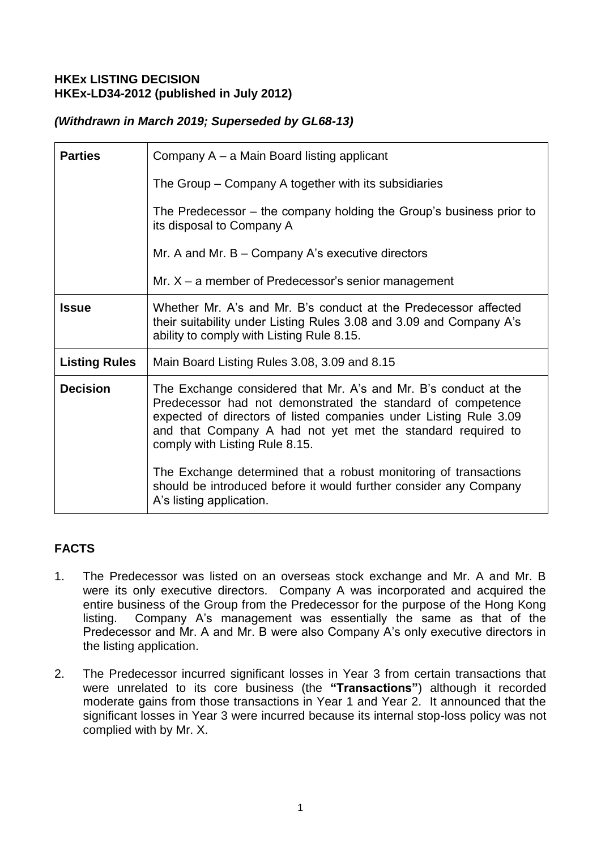#### **HKEx LISTING DECISION HKEx-LD34-2012 (published in July 2012)**

## *(Withdrawn in March 2019; Superseded by GL68-13)*

| <b>Parties</b>       | Company A – a Main Board listing applicant                                                                                                                                                                                                                                                                                                                                                                                                    |
|----------------------|-----------------------------------------------------------------------------------------------------------------------------------------------------------------------------------------------------------------------------------------------------------------------------------------------------------------------------------------------------------------------------------------------------------------------------------------------|
|                      | The Group – Company A together with its subsidiaries                                                                                                                                                                                                                                                                                                                                                                                          |
|                      | The Predecessor – the company holding the Group's business prior to<br>its disposal to Company A                                                                                                                                                                                                                                                                                                                                              |
|                      | Mr. A and Mr. $B -$ Company A's executive directors                                                                                                                                                                                                                                                                                                                                                                                           |
|                      | Mr. $X - a$ member of Predecessor's senior management                                                                                                                                                                                                                                                                                                                                                                                         |
| <b>Issue</b>         | Whether Mr. A's and Mr. B's conduct at the Predecessor affected<br>their suitability under Listing Rules 3.08 and 3.09 and Company A's<br>ability to comply with Listing Rule 8.15.                                                                                                                                                                                                                                                           |
| <b>Listing Rules</b> | Main Board Listing Rules 3.08, 3.09 and 8.15                                                                                                                                                                                                                                                                                                                                                                                                  |
| <b>Decision</b>      | The Exchange considered that Mr. A's and Mr. B's conduct at the<br>Predecessor had not demonstrated the standard of competence<br>expected of directors of listed companies under Listing Rule 3.09<br>and that Company A had not yet met the standard required to<br>comply with Listing Rule 8.15.<br>The Exchange determined that a robust monitoring of transactions<br>should be introduced before it would further consider any Company |
|                      | A's listing application.                                                                                                                                                                                                                                                                                                                                                                                                                      |

# **FACTS**

- 1. The Predecessor was listed on an overseas stock exchange and Mr. A and Mr. B were its only executive directors. Company A was incorporated and acquired the entire business of the Group from the Predecessor for the purpose of the Hong Kong listing. Company A's management was essentially the same as that of the Predecessor and Mr. A and Mr. B were also Company A's only executive directors in the listing application.
- 2. The Predecessor incurred significant losses in Year 3 from certain transactions that were unrelated to its core business (the **"Transactions"**) although it recorded moderate gains from those transactions in Year 1 and Year 2. It announced that the significant losses in Year 3 were incurred because its internal stop-loss policy was not complied with by Mr. X.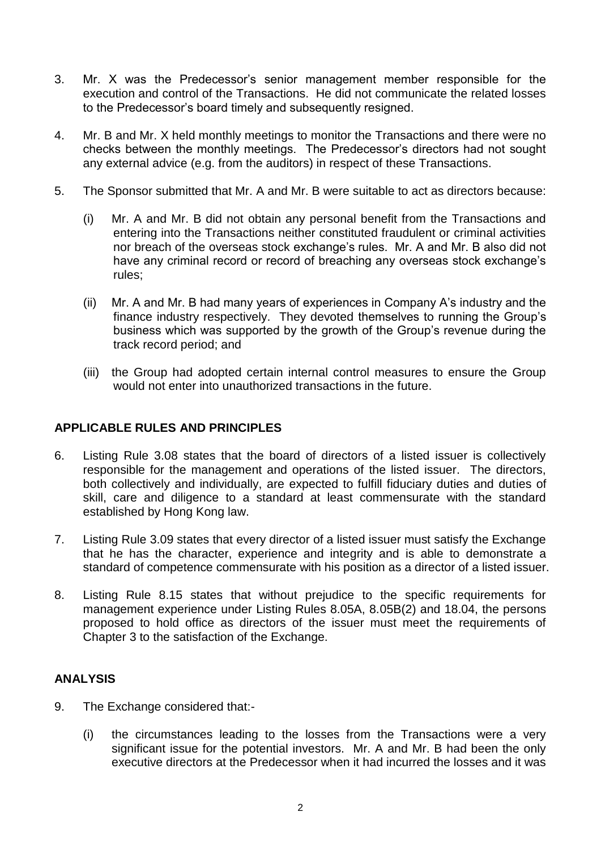- 3. Mr. X was the Predecessor's senior management member responsible for the execution and control of the Transactions. He did not communicate the related losses to the Predecessor's board timely and subsequently resigned.
- 4. Mr. B and Mr. X held monthly meetings to monitor the Transactions and there were no checks between the monthly meetings. The Predecessor's directors had not sought any external advice (e.g. from the auditors) in respect of these Transactions.
- 5. The Sponsor submitted that Mr. A and Mr. B were suitable to act as directors because:
	- (i) Mr. A and Mr. B did not obtain any personal benefit from the Transactions and entering into the Transactions neither constituted fraudulent or criminal activities nor breach of the overseas stock exchange's rules. Mr. A and Mr. B also did not have any criminal record or record of breaching any overseas stock exchange's rules;
	- (ii) Mr. A and Mr. B had many years of experiences in Company A's industry and the finance industry respectively. They devoted themselves to running the Group's business which was supported by the growth of the Group's revenue during the track record period; and
	- (iii) the Group had adopted certain internal control measures to ensure the Group would not enter into unauthorized transactions in the future.

### **APPLICABLE RULES AND PRINCIPLES**

- 6. Listing Rule 3.08 states that the board of directors of a listed issuer is collectively responsible for the management and operations of the listed issuer. The directors, both collectively and individually, are expected to fulfill fiduciary duties and duties of skill, care and diligence to a standard at least commensurate with the standard established by Hong Kong law.
- 7. Listing Rule 3.09 states that every director of a listed issuer must satisfy the Exchange that he has the character, experience and integrity and is able to demonstrate a standard of competence commensurate with his position as a director of a listed issuer.
- 8. Listing Rule 8.15 states that without prejudice to the specific requirements for management experience under Listing Rules 8.05A, 8.05B(2) and 18.04, the persons proposed to hold office as directors of the issuer must meet the requirements of Chapter 3 to the satisfaction of the Exchange.

### **ANALYSIS**

- 9. The Exchange considered that:-
	- (i) the circumstances leading to the losses from the Transactions were a very significant issue for the potential investors. Mr. A and Mr. B had been the only executive directors at the Predecessor when it had incurred the losses and it was